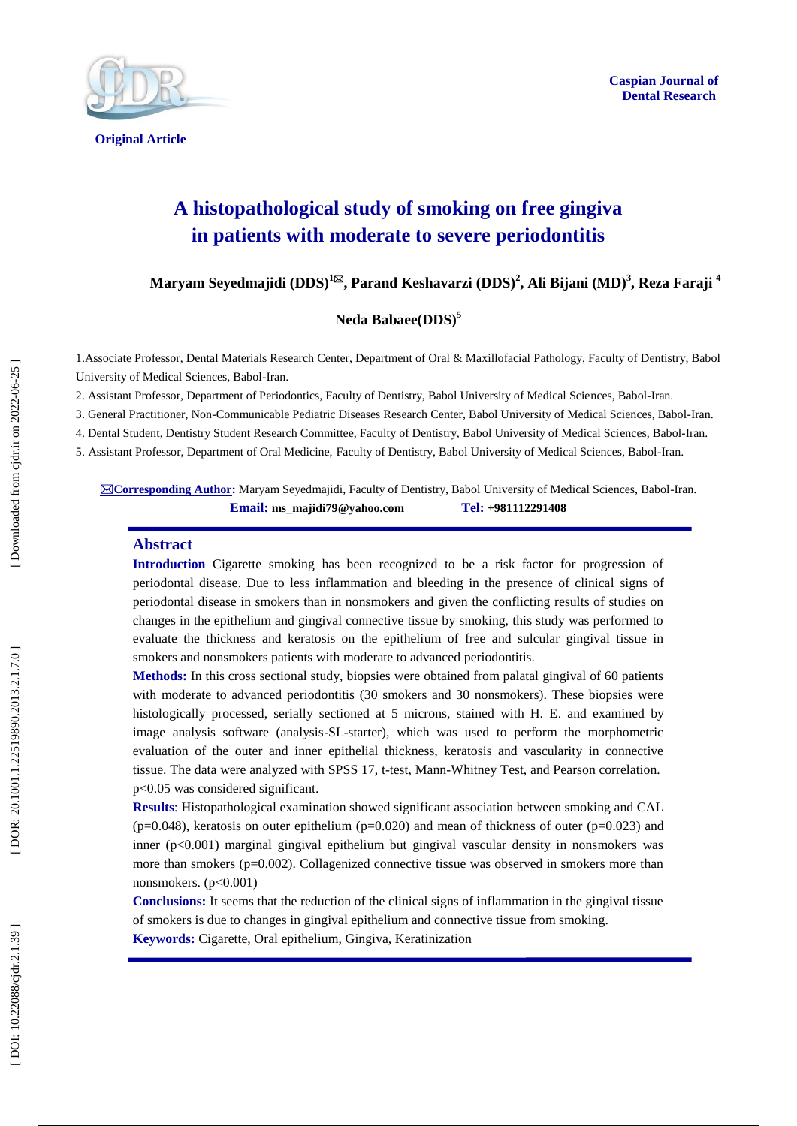

**Original Article** 

# **A histopathological study of smoking on free gingiva in patients with moderate to severe periodontitis**

 $\mathbf{Maryam\text{ Seyedmajidi (DDS)}^{1\boxtimes}}, \mathbf{Parand\text{ Keshavarzi (DDS)}^2}, \mathbf{Ali\text{ Bijani (MD)}^3}, \mathbf{Reza\text{ Faraji}}^4$ 

# **Neda Babaee(DDS) 5**

1 .Associate Professor, Dental Materials Research Center, Department of Oral & Maxillofacial Pathology, Faculty of Dentistry, Babol University of Medical Sciences, Babol -Iran.

2. Assistant Professor, Department of Periodontics, Faculty of Dentistry, Babol University of Medical Sciences, Babol -Iran.

3. General Practitioner, Non -Communicable Pediatric Diseases Research Center, Babol University of Medical Sciences, Babol -Iran.

4. Dental Student, Dentistry Student Research Committee, Faculty of Dentistry, Babol University of Medical Sciences, Babol -Iran.

5. Assistant Professor, Department of Oral Medicine, Faculty of Dentistry, Babol University of Medical Sciences, Babol -Iran.

⊠Corresponding Author: Maryam Seyedmajidi, Faculty of Dentistry, Babol University of Medical Sciences, Babol-Iran. **Email: ms\_majidi79@yahoo.com Tel: +981112291408**

#### **Abstract**

**Introduction** Cigarette smoking has been recognized to be a risk factor for progression of periodontal disease . Due to less inflammation and bleeding in the presence of clinical signs of periodontal disease in smokers than in nonsmokers and given the conflicting results of studies on changes in the epithelium and gingival connective tissue by smoking, this study was performed to evaluate the thickness and keratosis on the epithelium of free and sulcular gingival tissue in smokers and nonsmokers patients with moderate to advanced periodontitis.

**Methods:** In this cross sectional study, biopsies were obtained from palatal gingival of 60 patients with moderate to advanced periodontitis (30 smokers and 30 nonsmokers). These biopsies were histologically processed, serially sectioned at 5 microns, stained with H. E . and examined by image analysis software (analysis -SL -starter), which was used to perform the morphometric evaluation of the outer and inner epithelial thickness, keratosis and vascularity in connective tissue. The data were analyzed with SPSS 17, t -test, Mann -Whitney Test, and Pearson correlation. p<0.05 was considered significant.

**Results** : Histopathological examination showed significant association between smoking and CAL  $(p=0.048)$ , keratosis on outer epithelium  $(p=0.020)$  and mean of thickness of outer  $(p=0.023)$  and inner ( p<0.001) marginal gingival epithelium but gingival vascular density in nonsmokers was more than smokers (p=0.002). Collagenized connective tissue was observed in smokers more than nonsmokers. (p<0.001)

**Conclusions:** It seems that the reduction of the clinical signs of inflammation in the gingival tissue of smokers is due to changes in gingival epithelium and connective tissue from smoking. **Keywords:** Cigarette, Oral epithelium, Gingiva, Keratinization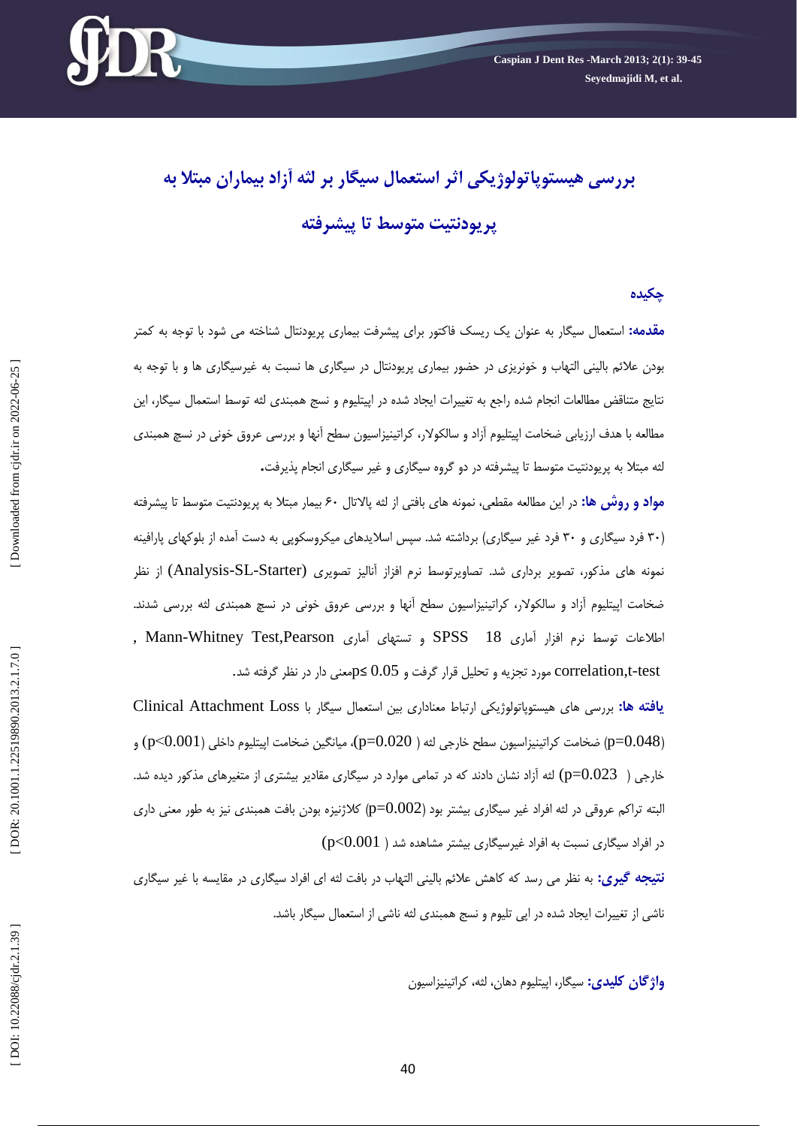

# **بررسی هیستوپاتولوژیکی اثر استعمال سیگار بر لثه آزاد بیماران مبتال به پریودنتیت متوسط تا پیشرفته**

#### **چکیده**

**مقدمه:** استعمال سیگار به عنوان یک ریسک فاکتور برای پیشرفت بیماری پریودنتال شناخته می شود با توجه به کمتر بودن علائم بالینی التهاب و خونریزی در حضور بیماری پریودنتال در سیگاری ها نسبت به غیرسیگاری ها و با توجه به نتایج متناقض مطالعات انجام شده راجع به تغییرات ایجاد شده در اپیتلیوم و نسج همبندی لثه توسط استعمال سیگار، این مطالعه با هدف ارزیابی ضخامت اپیتلیوم آزاد و سالکولار، کراتینیزاسیون سطح آنها و بررسی عروق خونی در نسچ همبندی<br>لثه مبتلا به پریودنتیت متوسط تا پیشرفته در دو گروه سیگاری و غیر سیگاری انجام پذیرفت**.** 

<mark>مواد و روش ها:</mark> در این مطالعه مقطعی، نمونه های بافتی از لثه پالاتال ۶۰ بیمار مبتلا به پریودنتیت متوسط تا پیشرفته (۳۰ فرد سیگاری و ۳۰ فرد غیر سیگاری) برداشته شد. سپس اسلایدهای میکروسکوپی به دست امده از بلوکهای پارافینه نمونه های مذکور، تصویر برداری شد. تصاویرتوسط نرم افزاز آنالیز تصویری (Analysis-SL-Starter) از نظر ضخامت اپیتلیوم آزاد و سالکولار، کراتینیزاسیون سطح آنها و بررسی عروق خونی در نسچ همبندی لثه بررسی شدند.<br>اطلاعات توسط نرم افزار آماری SPSS 18 و تستهای آماری Mann-Whitney Test,Pearson ,<br>Correlation,t-test مورد تجزیه و تح

**یافته ها:** بزرسی ّای ّیستَپاتَلَصیکی ارتباط هعٌاداری بیي استعوال سیگار با Loss Attachment Clinical (p=0.048) ضخامت کراتینیزاسیون سطح خارجی لثه ( p=0.020)، میانگین ضخامت اپیتلیوم داخلی (p<0.001) و خارجی (  $0.023$  (p= $0.023$ ) لثه آزاد نشان دادند که در تمامی موارد در سیگاری مقادیر بیشتری از متغیرهای مذکور دیده شد. البته تراکم عروقی در لثه افراد غیر سیگاری بیشتر بود (p=0.002) کلاژنیزه بودن بافت همبندی نیز به طور معنی داری  $\left( {\rm p<}0.001\; \right)$ در افراد سیگاری بیشتر مشاهده شد ( **نتیجه گیری:** به نظر می رسد که کاهش علائم بالینی التهاب در بافت لثه ای افراد سیگاری در مقایسه با غیر سیگاری<br>ناشی از تغییرات ایجاد شده در اپی تلیوم و نسج همبندی لثه ناشی از استعمال سیگار باشد.

**واژگان کلیدی:** سیگار، اییتلیوم دهان، لثه، کراتینیزاسیون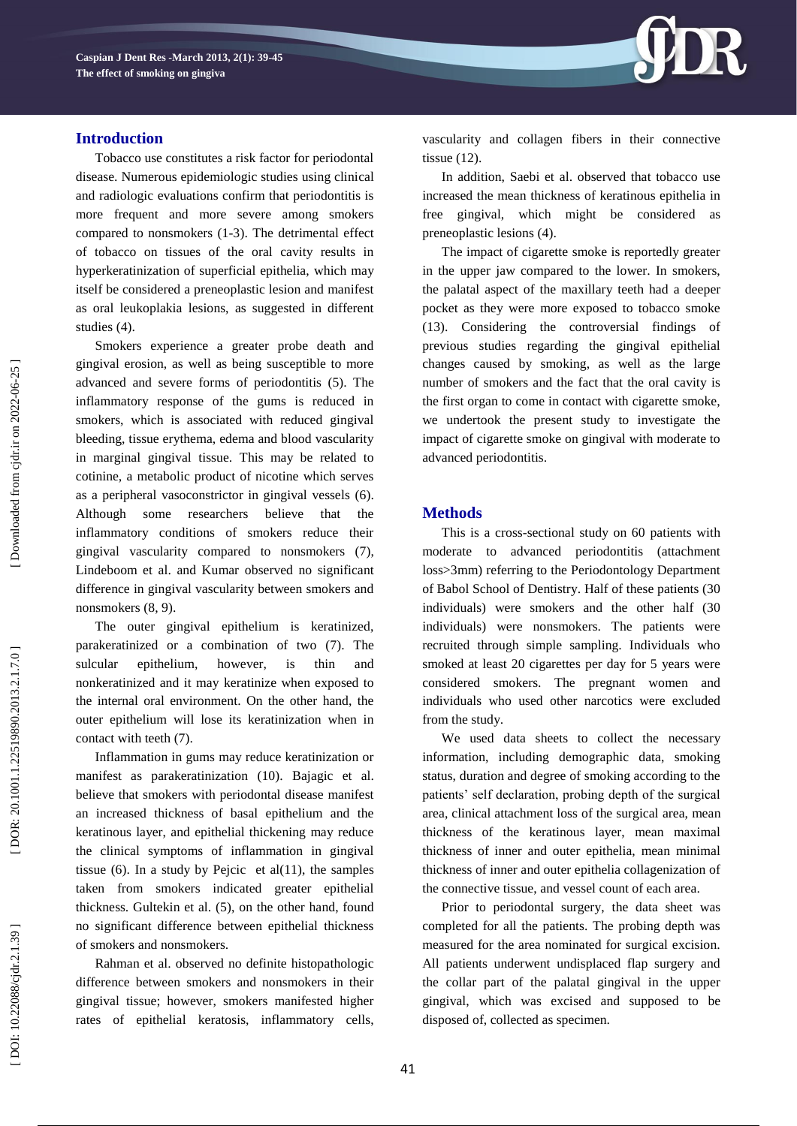

### **Introduction**

Tobacco use constitutes a risk factor for periodontal disease. Numerous epidemiologic studies using clinical and radiologic evaluations confirm that periodontitis is more frequent and more severe among smokers compared to nonsmokers (1 -3). The detrimental effect of tobacco on tissues of the oral cavity results in hyperkeratinization of superficial epithelia, which may itself be considered a preneoplastic lesion and manifest as oral leukoplakia lesions, as suggested in different studies (4).

Smokers experience a greater probe death and gingival erosion, as well as being susceptible to more advanced and severe forms of periodontitis (5). The inflammatory response of the gums is reduced in smokers, which is associated with reduced gingival bleeding, tissue erythema, edema and blood vascularity in marginal gingival tissue. This may be related to cotinine, a metabolic product of nicotine which serves as a peripheral vasoconstrictor in gingival vessels (6). Although some researchers believe that the inflammatory conditions of smokers reduce their gingival vascularity compared to nonsmokers (7), Lindeboom et al. and Kumar observed no significant difference in gingival vascularity between smokers and nonsmokers (8, 9).

The outer gingival epithelium is keratinized, parakeratinized or a combination of two (7). The sulcular epithelium, however, is thin and nonkeratinized and it may keratinize when exposed to the internal oral environment. On the other hand, the outer epithelium will lose its keratinization when in contact with teeth (7).

Inflammation in gums may reduce keratinization or manifest as parakeratinization (10). Bajagic et al. believe that smokers with periodontal disease manifest an increased thickness of basal epithelium and the keratinous layer, and epithelial thickening may reduce the clinical symptoms of inflammation in gingival tissue (6). In a study by Pejcic et al $(11)$ , the samples taken from smokers indicated greater epithelial thickness. Gultekin et al. (5), on the other hand, found no significant difference between epithelial thickness of smokers and nonsmokers.

Rahman et al. observed no definite histopathologic difference between smokers and nonsmokers in their gingival tissue; however, smokers manifested higher rates of epithelial keratosis, inflammatory cells, vascularity and collagen fibers in their connective tissue (12).

In addition, Saebi et al. observed that tobacco use increased the mean thickness of keratinous epithelia in free gingival, which might be considered preneoplastic lesions (4).

The impact of cigarette smoke is reportedly greater in the upper jaw compared to the lower. In smokers, the palatal aspect of the maxillary teeth had a deeper pocket as they were more exposed to tobacco smoke  $(13)$ . Considering the controversial findings previous studies regarding the gingival epithelial changes caused by smoking, as well as the large number of smokers and the fact that the oral cavity is the first organ to come in contact with cigarette smoke, we undertook the present study to investigate the impact of cigarette smoke on gingival with moderate to advanced periodontitis.

# **Method s**

This is a cross -sectional study on 60 patients with moderate to advanced periodontitis (attachment loss>3mm) referring to the Periodontology Department of Babol School of Dentistry. Half of these patients (30 individuals) were smokers and the other half (30 individuals) were nonsmokers. The patients were recruited through simple sampling. Individuals who smoked at least 20 cigarettes per day for 5 years were considered smokers. The pregnant women and individuals who used other narcotics were excluded from the study.

We used data sheets to collect the necessary information, including demographic data, smoking status, duration and degree of smoking according to the patients' self declaration, probing depth of the surgical area, clinical attachment loss of the surgical area, mean thickness of the keratinous layer, mean maximal thickness of inner and outer epithelia, mean minimal thickness of inner and outer epithelia collagenization of the connective tissue, and vessel count of each area.

Prior to periodontal surgery, the data sheet was completed for all the patients. The probing depth was measured for the area nominated for surgical excision. All patients underwent undisplaced flap surgery and the collar part of the palatal gingival in the upper gingival, which was excised and supposed to be disposed of, collected as specimen.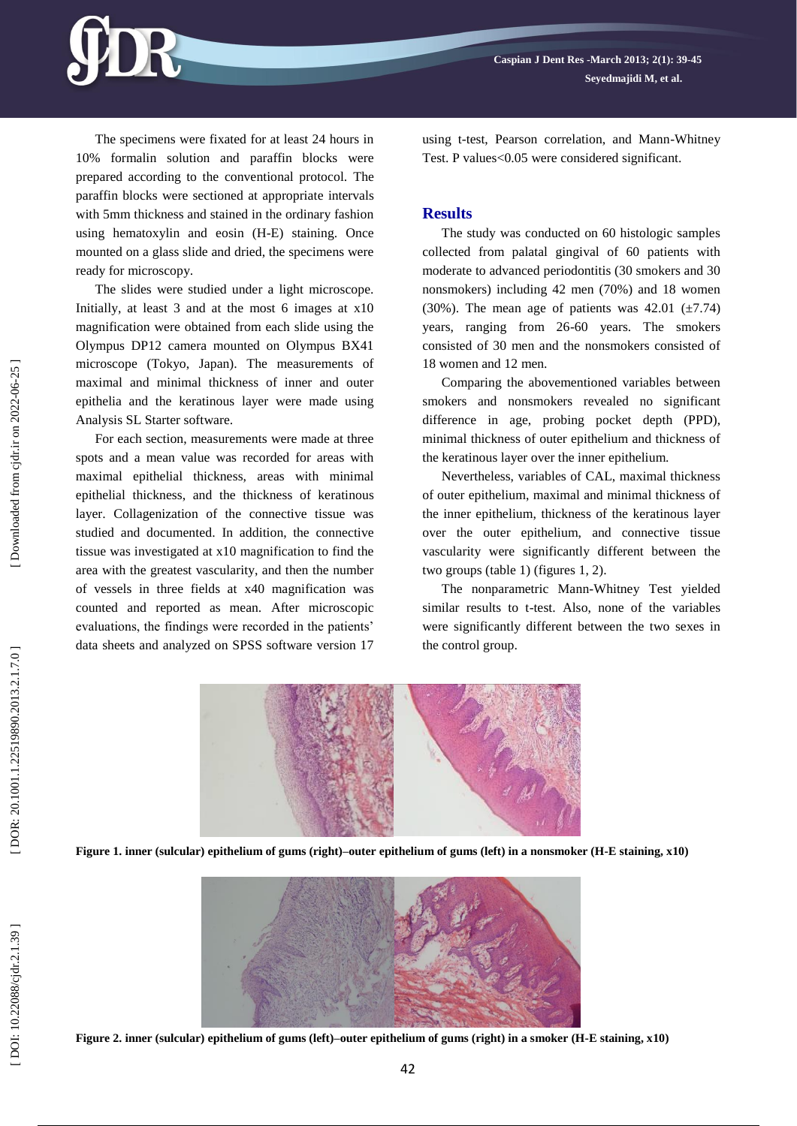The specimens were fixated for at least 24 hours in 10% formalin solution and paraffin blocks were prepared according to the conventional protocol. The paraffin blocks were sectioned at appropriate intervals with 5mm thickness and stained in the ordinary fashion using hematoxylin and eosin (H -E) staining. Once mounted on a glass slide and dried, the specimens were ready for microscopy.

The slides were studied under a light microscope. Initially, at least 3 and at the most 6 images at x10 magnification were obtained from each slide using the Olympus DP12 camera mounted on Olympus BX41 microscope (Tokyo, Japan). The measurements of maximal and minimal thickness of inner and outer epithelia and the keratinous layer were made using Analysis SL Starter software.

For each section, measurements were made at three spots and a mean value was recorded for areas with maximal epithelial thickness, areas with minimal epithelial thickness, and the thickness of keratinous layer. Collagenization of the connective tissue was studied and documented. In addition, the connective tissue was investigated at x10 magnification to find the area with the greatest vascularity, and then the number of vessels in three fields at x40 magnification was counted and reported as mean. After microscopic evaluations, the findings were recorded in the patients' data sheets and analyzed on SPSS software version 17 using t -test, Pearson correlation, and Mann -Whitney Test. P values<0.05 were considered significant.

#### **Results**

The study was conducted on 60 histologic samples collected from palatal gingival of 60 patients with moderate to advanced periodontitis (30 smokers and 30 nonsmokers) including 42 men (70%) and 18 women (30%). The mean age of patients was  $42.01 \pm 7.74$ ) years, ranging from 26 -60 years. The smokers consisted of 30 men and the nonsmokers consisted of 18 women and 12 men.

Comparing the abovementioned variables between smokers and nonsmokers revealed no significant difference in age, probing pocket depth (PPD), minimal thickness of outer epithelium and thickness of the keratinous layer over the inner epithelium.

Nevertheless, variables of CAL, maximal thickness of outer epithelium, maximal and minimal thickness of the inner epithelium, thickness of the keratinous layer over the outer epithelium, and connective tissue vascularity were significantly different between the two groups (table 1) (figures 1, 2).

The nonparametric Mann -Whitney Test yielded similar results to t -test. Also, none of the variables were significantly different between the two sexes in the control group.



**Figure 1 . inner (sulcular) epithelium of gums (right) –outer epithelium of gums (left) in a nonsmoker (H -E staining, x10)**



**Figure 2 . inner (sulcular) epithelium of gums (left) –outer epithelium of gums (right) in a smoker (H -E staining, x10)**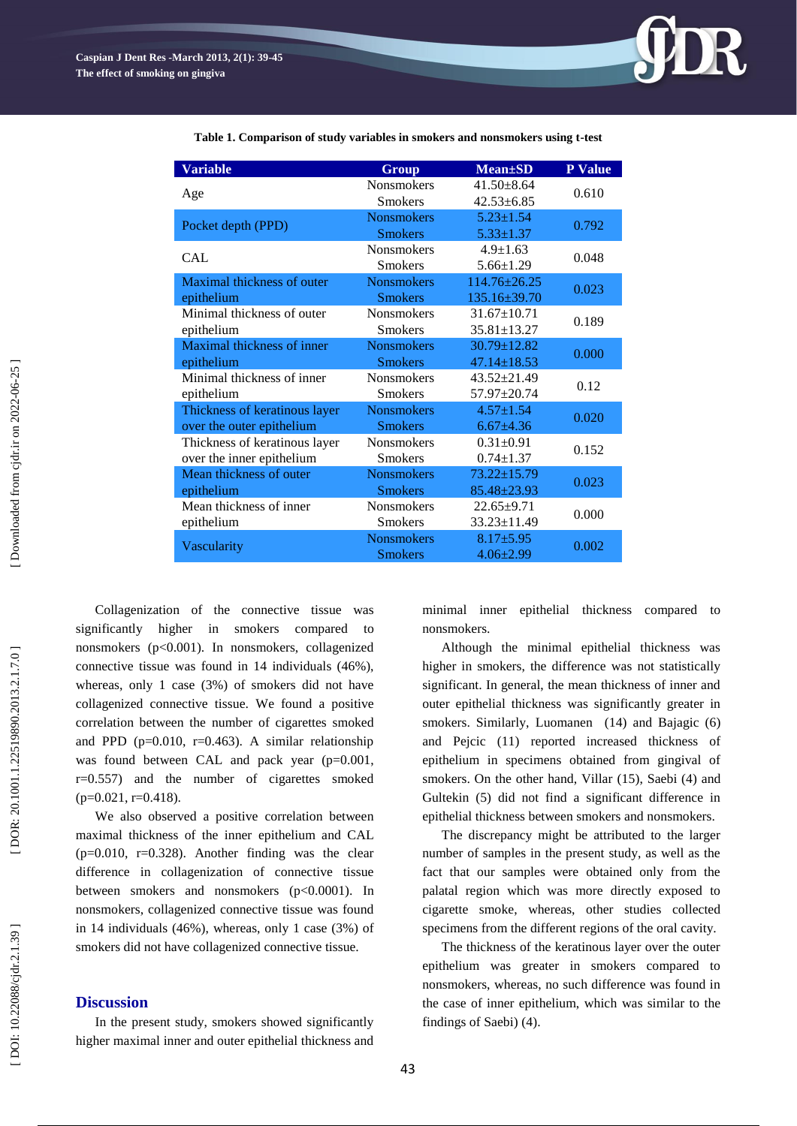

**Table 1. Comparison of study variables in smokers and nonsmokers using t -test**

Collagenization of the connective tissue was significantly higher in smokers compared nonsmokers (p<0.001). In nonsmokers, collagenized connective tissue was found in 14 individuals (46%), whereas, only 1 case (3%) of smokers did not have collagenized connective tissue. We found a positive correlation between the number of cigarettes smoked and PPD ( $p=0.010$ ,  $r=0.463$ ). A similar relationship was found between CAL and pack year (p=0.001, r=0.557) and the number of cigarettes smoked  $(p=0.021, r=0.418).$ 

We also observed a positive correlation between maximal thickness of the inner epithelium and CAL (p=0.010, r=0.328). Another finding was the clear difference in collagenization of connective tissue between smokers and nonsmokers (p<0.0001). In nonsmokers, collagenized connective tissue was found in 14 individuals (46%), whereas, only 1 case (3%) of smokers did not have collagenized connective tissue.

# **Discussion**

In the present study, smokers showed significantly higher maximal inner and outer epithelial thickness and minimal inner epithelial thickness compared to nonsmokers.

Although the minimal epithelial thickness was higher in smokers, the difference was not statistically significant. In general, the mean thickness of inner and outer epithelial thickness was significantly greater in smokers. Similarly, Luomanen (14) and Bajagic (6) and Pejcic (1 1 ) reported increased thickness of epithelium in specimens obtained from gingival of smokers. On the other hand, Villar (1 5), Saebi (4) and Gultekin (5) did not find a significant difference in epithelial thickness between smokers and nonsmokers.

The discrepancy might be attributed to the larger number of samples in the present study, as well as the fact that our samples were obtained only from the palatal region which was more directly exposed to cigarette smoke, whereas, other studies collected specimens from the different regions of the oral cavity.

The thickness of the keratinous layer over the outer epithelium was greater in smokers compared to nonsmokers, whereas, no such difference was found in the case of inner epithelium, which was similar to the findings of Saebi) (4).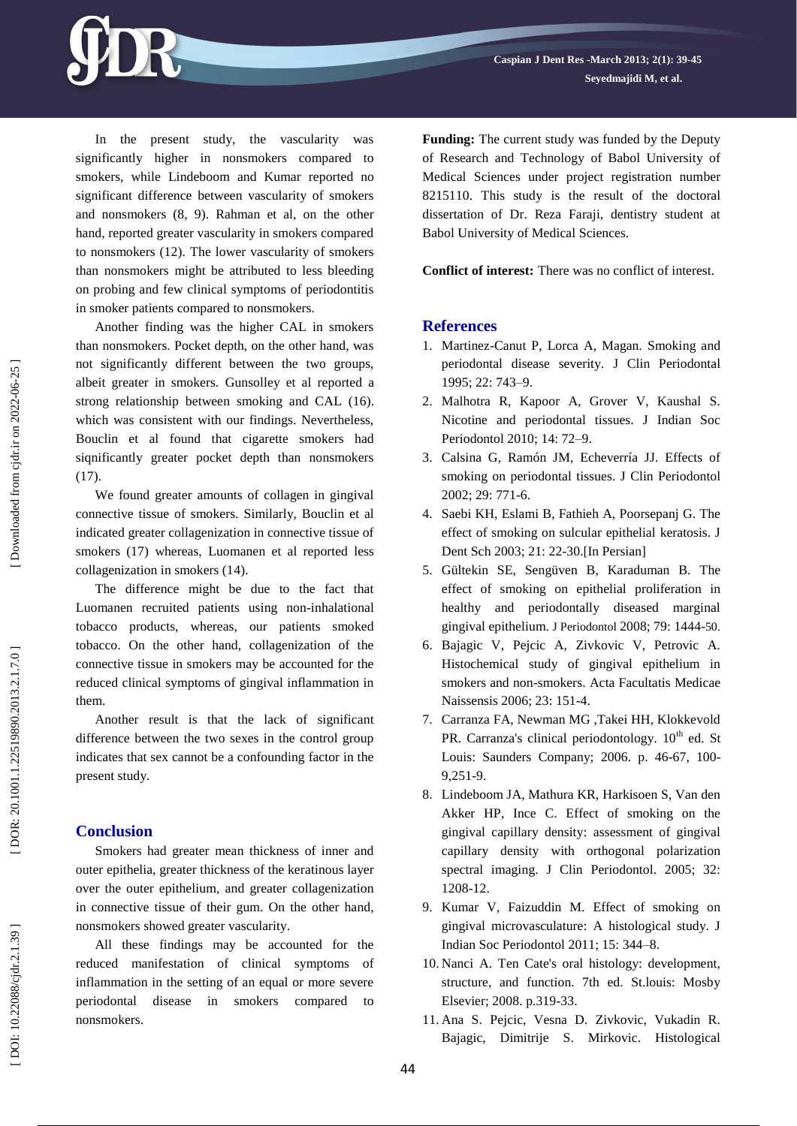In the present study, the vascularity was significantly higher in nonsmokers compared to smokers, while Lindeboom and Kumar reported no significant difference between vascularity of smokers and nonsmokers (8, 9). Rahman et al, on the other hand, reported greater vascularity in smokers compared to nonsmokers (1 2). The lower vascularity of smokers than nonsmokers might be attributed to less bleeding on probing and few clinical symptoms of periodontitis in smoker patients compared to nonsmokers.

Another finding was the higher CAL in smokers than nonsmokers. Pocket depth, on the other hand, was not significantly different between the two groups, albeit greater in smokers. Gunsolley et al reported a strong relationship between smoking and CAL (16) . which was consistent with our findings. Nevertheless, Bouclin et al found that cigarette smokers had siqnificantly greater pocket depth than nonsmokers (17).

We found greater amounts of collagen in gingival connective tissue of smokers. Similarly, Bouclin et al indicated greater collagenization in connective tissue of smokers (17) whereas, Luomanen et al reported less collagenization in smokers (1 4).

The difference might be due to the fact that Luomanen recruited patients using non -inhalational tobacco products, whereas, our patients smoked tobacco. On the other hand, collagenization of the connective tissue in smokers may be accounted for the reduced clinical symptoms of gingival inflammation in them.

Another result is that the lack of significant difference between the two sexes in the control group indicates that sex cannot be a confounding factor in the present study.

#### **Conclusion**

Smokers had greater mean thickness of inner and outer epithelia, greater thickness of the keratinous layer over the outer epithelium, and greater collagenization in connective tissue of their gum. On the other hand, nonsmokers showed greater vascularity.

All these findings may be accounted for the reduced manifestation of clinical symptoms of inflammation in the setting of an equal or more severe periodontal disease in smokers compared to nonsmokers.

**Funding:** The current study was funded by the Deputy of Research and Technology of Babol University of Medical Sciences under project registration number 8215110. This study is the result of the doctoral dissertation of Dr. Reza Faraji, dentistry student at Babol University of Medical Sciences.

**Conflict of interest:** There was no conflict of interest .

#### **References**

- 1. Martinez-Canut P, Lorca A, Magan. Smoking and periodontal disease severity. J Clin Periodontal 1995; 22: 743 –9.
- 2 . Malhotra R, Kapoor A, Grover V, Kaushal S. Nicotine and periodontal tissues. J Indian Soc Periodontol 2010; 14: 72 –9.
- 3 . Calsina G, Ramón JM, Echeverría JJ. Effects of smoking on periodontal tissues. J Clin Periodontol 2002; 29: 771 -6.
- 4 . Saebi KH, Eslami B, Fathieh A, Poorsepanj G. The effect of smoking on sulcular epithelial keratosis. J Dent Sch 2003; 21: 22 -30.[In Persian]
- 5 . Gültekin SE, Sengüven B, Karaduman B. The effect of smoking on epithelial proliferation in healthy and periodontally diseased marginal gingival epithelium. J Periodontol 2008; 79: 1444 -50.
- 6 . Bajagic V, Pejcic A, Zivkovic V, Petrovic A. Histochemical study of gingival epithelium in smokers and non -smokers. Acta Facultatis Medicae Naissensis 2006; 23: 151 -4.
- 7 . Carranza FA, Newman MG ,Takei HH, Klokkevold PR. Carranza's clinical periodontology. 10<sup>th</sup> ed. St Louis: Saunders Company; 2006. p. 46-67, 100-9,251 -9.
- 8 . Lindeboom JA, Mathura KR, Harkisoen S, Van den Akker HP, Ince C. Effect of smoking on the gingival capillary density: assessment of gingival capillary density with orthogonal polarization spectral imaging. J Clin Periodontol. 2005; 32: 1208 -12.
- 9 . Kumar V, Faizuddin M. Effect of smoking on gingival microvasculature: A histological study. J Indian Soc Periodontol 2011; 15: 344 –8.
- 10 . Nanci A. Ten Cate's oral histology: development, structure, and function. 7th ed. St.louis: Mosby Elsevier; 2008. p.319 -33.
- 11 . Ana S. Pejcic, Vesna D. Zivkovic, Vukadin R. Bajagic, Dimitrije S. Mirkovic. Histological